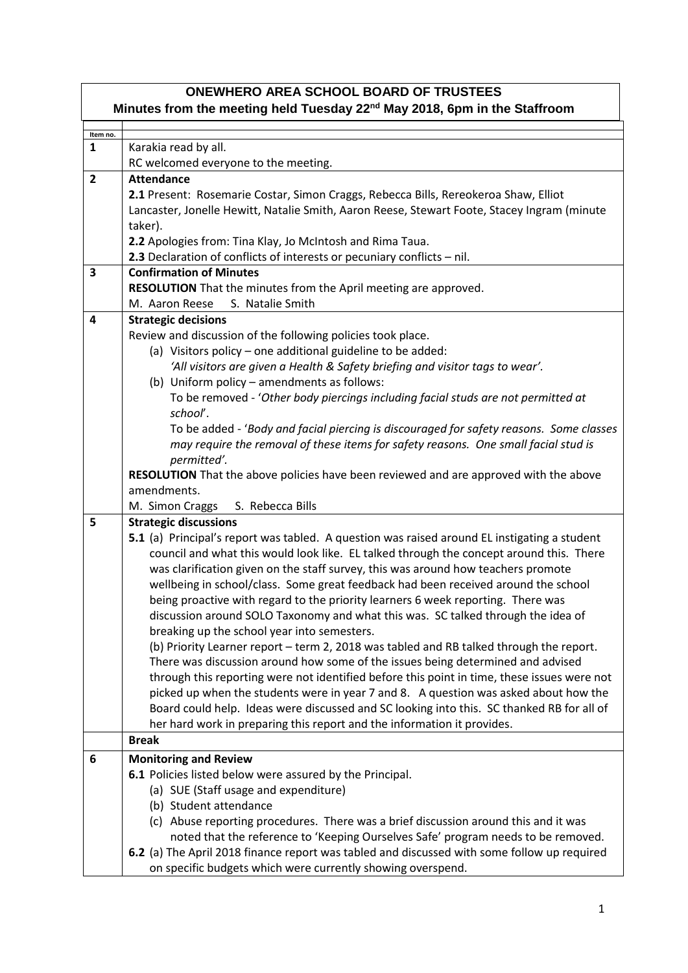| <b>ONEWHERO AREA SCHOOL BOARD OF TRUSTEES</b>                                         |                                                                                                                              |  |
|---------------------------------------------------------------------------------------|------------------------------------------------------------------------------------------------------------------------------|--|
| Minutes from the meeting held Tuesday 22 <sup>nd</sup> May 2018, 6pm in the Staffroom |                                                                                                                              |  |
| Item no.                                                                              |                                                                                                                              |  |
| $\mathbf{1}$                                                                          | Karakia read by all.                                                                                                         |  |
|                                                                                       | RC welcomed everyone to the meeting.                                                                                         |  |
| $\overline{2}$                                                                        | <b>Attendance</b>                                                                                                            |  |
|                                                                                       | 2.1 Present: Rosemarie Costar, Simon Craggs, Rebecca Bills, Rereokeroa Shaw, Elliot                                          |  |
|                                                                                       | Lancaster, Jonelle Hewitt, Natalie Smith, Aaron Reese, Stewart Foote, Stacey Ingram (minute                                  |  |
|                                                                                       | taker).                                                                                                                      |  |
|                                                                                       | 2.2 Apologies from: Tina Klay, Jo McIntosh and Rima Taua.                                                                    |  |
|                                                                                       | 2.3 Declaration of conflicts of interests or pecuniary conflicts - nil.                                                      |  |
| 3                                                                                     | <b>Confirmation of Minutes</b>                                                                                               |  |
|                                                                                       | RESOLUTION That the minutes from the April meeting are approved.                                                             |  |
|                                                                                       | S. Natalie Smith<br>M. Aaron Reese                                                                                           |  |
| 4                                                                                     | <b>Strategic decisions</b>                                                                                                   |  |
|                                                                                       | Review and discussion of the following policies took place.                                                                  |  |
|                                                                                       | (a) Visitors policy - one additional guideline to be added:                                                                  |  |
|                                                                                       | 'All visitors are given a Health & Safety briefing and visitor tags to wear'.<br>(b) Uniform policy - amendments as follows: |  |
|                                                                                       | To be removed - 'Other body piercings including facial studs are not permitted at                                            |  |
|                                                                                       | school'.                                                                                                                     |  |
|                                                                                       | To be added - 'Body and facial piercing is discouraged for safety reasons. Some classes                                      |  |
|                                                                                       | may require the removal of these items for safety reasons. One small facial stud is                                          |  |
|                                                                                       | permitted'.                                                                                                                  |  |
|                                                                                       | RESOLUTION That the above policies have been reviewed and are approved with the above                                        |  |
|                                                                                       | amendments.                                                                                                                  |  |
|                                                                                       | S. Rebecca Bills<br>M. Simon Craggs                                                                                          |  |
| 5                                                                                     | <b>Strategic discussions</b>                                                                                                 |  |
|                                                                                       | 5.1 (a) Principal's report was tabled. A question was raised around EL instigating a student                                 |  |
|                                                                                       | council and what this would look like. EL talked through the concept around this. There                                      |  |
|                                                                                       | was clarification given on the staff survey, this was around how teachers promote                                            |  |
|                                                                                       | wellbeing in school/class. Some great feedback had been received around the school                                           |  |
|                                                                                       | being proactive with regard to the priority learners 6 week reporting. There was                                             |  |
|                                                                                       | discussion around SOLO Taxonomy and what this was. SC talked through the idea of                                             |  |
|                                                                                       | breaking up the school year into semesters.                                                                                  |  |
|                                                                                       | (b) Priority Learner report - term 2, 2018 was tabled and RB talked through the report.                                      |  |
|                                                                                       | There was discussion around how some of the issues being determined and advised                                              |  |
|                                                                                       | through this reporting were not identified before this point in time, these issues were not                                  |  |
|                                                                                       | picked up when the students were in year 7 and 8. A question was asked about how the                                         |  |
|                                                                                       | Board could help. Ideas were discussed and SC looking into this. SC thanked RB for all of                                    |  |
|                                                                                       | her hard work in preparing this report and the information it provides.                                                      |  |
|                                                                                       | <b>Break</b>                                                                                                                 |  |
| 6                                                                                     | <b>Monitoring and Review</b>                                                                                                 |  |
|                                                                                       | 6.1 Policies listed below were assured by the Principal.                                                                     |  |
|                                                                                       | (a) SUE (Staff usage and expenditure)                                                                                        |  |
|                                                                                       | (b) Student attendance                                                                                                       |  |
|                                                                                       | (c) Abuse reporting procedures. There was a brief discussion around this and it was                                          |  |
|                                                                                       | noted that the reference to 'Keeping Ourselves Safe' program needs to be removed.                                            |  |
|                                                                                       | 6.2 (a) The April 2018 finance report was tabled and discussed with some follow up required                                  |  |
|                                                                                       | on specific budgets which were currently showing overspend.                                                                  |  |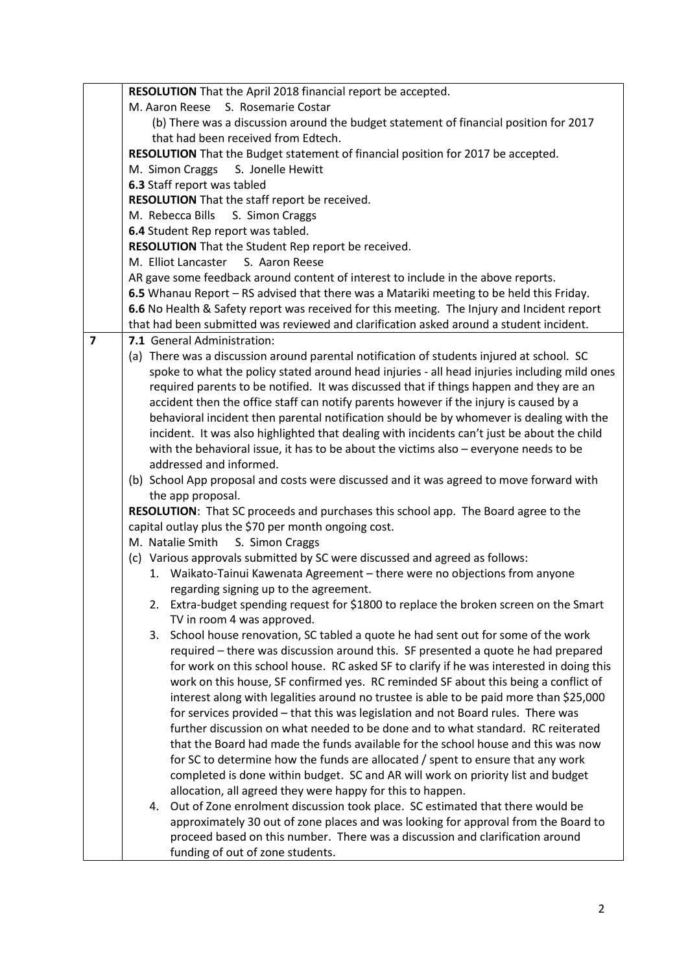|   | RESOLUTION That the April 2018 financial report be accepted.                                 |
|---|----------------------------------------------------------------------------------------------|
|   | S. Rosemarie Costar<br>M. Aaron Reese                                                        |
|   | (b) There was a discussion around the budget statement of financial position for 2017        |
|   | that had been received from Edtech.                                                          |
|   | RESOLUTION That the Budget statement of financial position for 2017 be accepted.             |
|   | M. Simon Craggs<br>S. Jonelle Hewitt                                                         |
|   | 6.3 Staff report was tabled                                                                  |
|   | RESOLUTION That the staff report be received.                                                |
|   | M. Rebecca Bills<br>S. Simon Craggs                                                          |
|   | 6.4 Student Rep report was tabled.                                                           |
|   | RESOLUTION That the Student Rep report be received.                                          |
|   | M. Elliot Lancaster<br>S. Aaron Reese                                                        |
|   | AR gave some feedback around content of interest to include in the above reports.            |
|   | 6.5 Whanau Report - RS advised that there was a Matariki meeting to be held this Friday.     |
|   | 6.6 No Health & Safety report was received for this meeting. The Injury and Incident report  |
|   | that had been submitted was reviewed and clarification asked around a student incident.      |
| 7 | 7.1 General Administration:                                                                  |
|   | (a) There was a discussion around parental notification of students injured at school. SC    |
|   | spoke to what the policy stated around head injuries - all head injuries including mild ones |
|   | required parents to be notified. It was discussed that if things happen and they are an      |
|   | accident then the office staff can notify parents however if the injury is caused by a       |
|   | behavioral incident then parental notification should be by whomever is dealing with the     |
|   | incident. It was also highlighted that dealing with incidents can't just be about the child  |
|   | with the behavioral issue, it has to be about the victims also - everyone needs to be        |
|   | addressed and informed.                                                                      |
|   | (b) School App proposal and costs were discussed and it was agreed to move forward with      |
|   | the app proposal.                                                                            |
|   | RESOLUTION: That SC proceeds and purchases this school app. The Board agree to the           |
|   | capital outlay plus the \$70 per month ongoing cost.                                         |
|   | M. Natalie Smith<br>S. Simon Craggs                                                          |
|   | (c) Various approvals submitted by SC were discussed and agreed as follows:                  |
|   | 1. Waikato-Tainui Kawenata Agreement - there were no objections from anyone                  |
|   | regarding signing up to the agreement.                                                       |
|   | Extra-budget spending request for \$1800 to replace the broken screen on the Smart           |
|   | TV in room 4 was approved.                                                                   |
|   | School house renovation, SC tabled a quote he had sent out for some of the work<br>3.        |
|   | required – there was discussion around this. SF presented a quote he had prepared            |
|   | for work on this school house. RC asked SF to clarify if he was interested in doing this     |
|   | work on this house, SF confirmed yes. RC reminded SF about this being a conflict of          |
|   | interest along with legalities around no trustee is able to be paid more than \$25,000       |
|   | for services provided - that this was legislation and not Board rules. There was             |
|   | further discussion on what needed to be done and to what standard. RC reiterated             |
|   | that the Board had made the funds available for the school house and this was now            |
|   | for SC to determine how the funds are allocated / spent to ensure that any work              |
|   | completed is done within budget. SC and AR will work on priority list and budget             |
|   | allocation, all agreed they were happy for this to happen.                                   |
|   | Out of Zone enrolment discussion took place. SC estimated that there would be<br>4.          |
|   | approximately 30 out of zone places and was looking for approval from the Board to           |
|   | proceed based on this number. There was a discussion and clarification around                |
|   | funding of out of zone students.                                                             |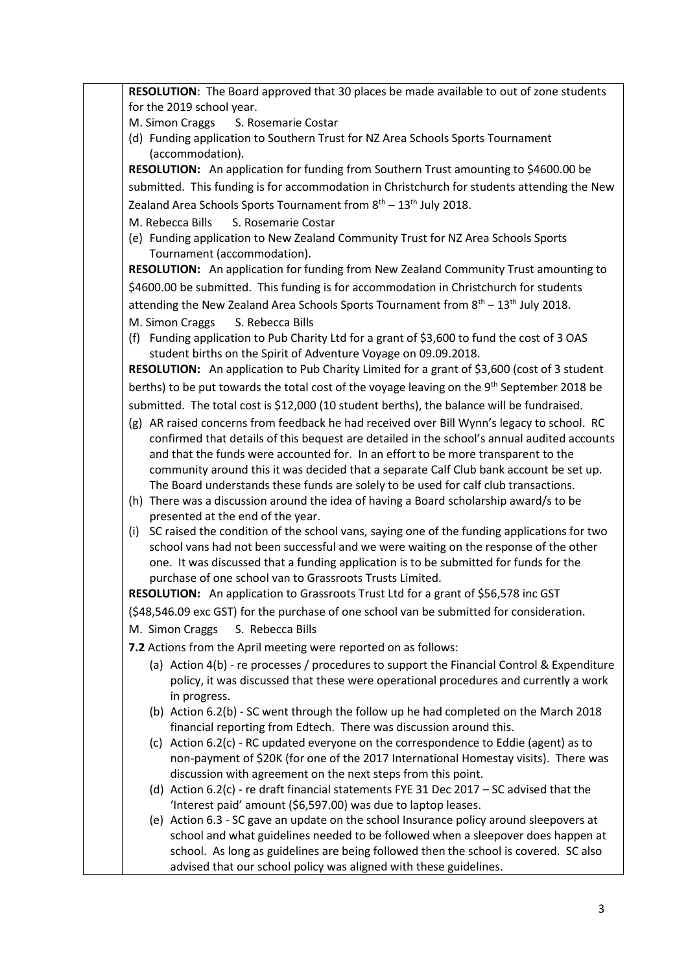**RESOLUTION**: The Board approved that 30 places be made available to out of zone students for the 2019 school year.

- M. Simon Craggs S. Rosemarie Costar
- (d) Funding application to Southern Trust for NZ Area Schools Sports Tournament (accommodation).

**RESOLUTION:** An application for funding from Southern Trust amounting to \$4600.00 be submitted. This funding is for accommodation in Christchurch for students attending the New Zealand Area Schools Sports Tournament from  $8<sup>th</sup> - 13<sup>th</sup>$  July 2018.

- M. Rebecca Bills S. Rosemarie Costar
- (e) Funding application to New Zealand Community Trust for NZ Area Schools Sports Tournament (accommodation).

**RESOLUTION:** An application for funding from New Zealand Community Trust amounting to \$4600.00 be submitted. This funding is for accommodation in Christchurch for students attending the New Zealand Area Schools Sports Tournament from  $8<sup>th</sup> - 13<sup>th</sup>$  July 2018. M. Simon Craggs S. Rebecca Bills

(f) Funding application to Pub Charity Ltd for a grant of \$3,600 to fund the cost of 3 OAS student births on the Spirit of Adventure Voyage on 09.09.2018.

**RESOLUTION:** An application to Pub Charity Limited for a grant of \$3,600 (cost of 3 student berths) to be put towards the total cost of the voyage leaving on the 9<sup>th</sup> September 2018 be submitted. The total cost is \$12,000 (10 student berths), the balance will be fundraised.

- (g) AR raised concerns from feedback he had received over Bill Wynn's legacy to school. RC confirmed that details of this bequest are detailed in the school's annual audited accounts and that the funds were accounted for. In an effort to be more transparent to the community around this it was decided that a separate Calf Club bank account be set up. The Board understands these funds are solely to be used for calf club transactions.
- (h) There was a discussion around the idea of having a Board scholarship award/s to be presented at the end of the year.
- (i) SC raised the condition of the school vans, saying one of the funding applications for two school vans had not been successful and we were waiting on the response of the other one. It was discussed that a funding application is to be submitted for funds for the purchase of one school van to Grassroots Trusts Limited.

**RESOLUTION:** An application to Grassroots Trust Ltd for a grant of \$56,578 inc GST (\$48,546.09 exc GST) for the purchase of one school van be submitted for consideration.

- M. Simon Craggs S. Rebecca Bills
- **7.2** Actions from the April meeting were reported on as follows:
	- (a) Action 4(b) re processes / procedures to support the Financial Control & Expenditure policy, it was discussed that these were operational procedures and currently a work in progress.
	- (b) Action 6.2(b) SC went through the follow up he had completed on the March 2018 financial reporting from Edtech. There was discussion around this.
	- (c) Action 6.2(c) RC updated everyone on the correspondence to Eddie (agent) as to non-payment of \$20K (for one of the 2017 International Homestay visits). There was discussion with agreement on the next steps from this point.
	- (d) Action 6.2(c) re draft financial statements FYE 31 Dec 2017 SC advised that the 'Interest paid' amount (\$6,597.00) was due to laptop leases.
	- (e) Action 6.3 SC gave an update on the school Insurance policy around sleepovers at school and what guidelines needed to be followed when a sleepover does happen at school. As long as guidelines are being followed then the school is covered. SC also advised that our school policy was aligned with these guidelines.